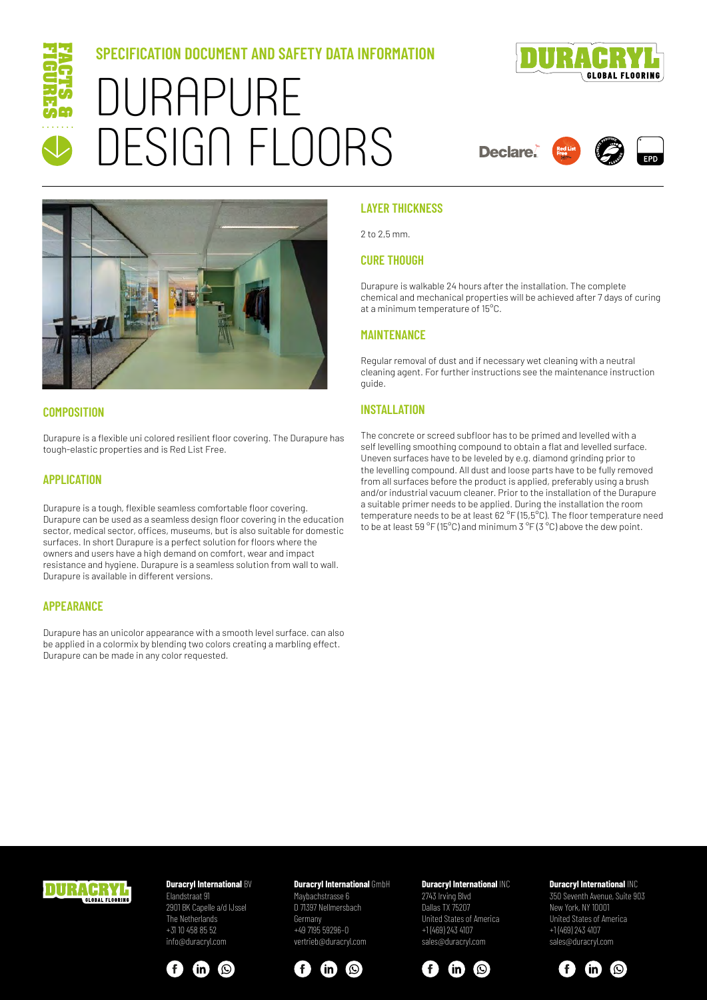

# **SPECIFICATION DOCUMENT AND SAFETY DATA INFORMATION** DURAPURE DESIGN FLOORS



**Declare.** 





#### **COMPOSITION**

Durapure is a flexible uni colored resilient floor covering. The Durapure has tough-elastic properties and is Red List Free.

#### **APPLICATION**

Durapure is a tough, flexible seamless comfortable floor covering. Durapure can be used as a seamless design floor covering in the education sector, medical sector, offices, museums, but is also suitable for domestic surfaces. In short Durapure is a perfect solution for floors where the owners and users have a high demand on comfort, wear and impact resistance and hygiene. Durapure is a seamless solution from wall to wall. Durapure is available in different versions.

#### **APPEARANCE**

Durapure has an unicolor appearance with a smooth level surface. can also be applied in a colormix by blending two colors creating a marbling effect. Durapure can be made in any color requested.

#### **LAYER THICKNESS**

2 to 2,5 mm.

#### **CURE THOUGH**

Durapure is walkable 24 hours after the installation. The complete chemical and mechanical properties will be achieved after 7 days of curing at a minimum temperature of 15°C.

#### **MAINTENANCE**

Regular removal of dust and if necessary wet cleaning with a neutral cleaning agent. For further instructions see the maintenance instruction guide.

#### **INSTALLATION**

The concrete or screed subfloor has to be primed and levelled with a self levelling smoothing compound to obtain a flat and levelled surface. Uneven surfaces have to be leveled by e.g. diamond grinding prior to the levelling compound. All dust and loose parts have to be fully removed from all surfaces before the product is applied, preferably using a brush and/or industrial vacuum cleaner. Prior to the installation of the Durapure a suitable primer needs to be applied. During the installation the room temperature needs to be at least 62 °F (15,5°C). The floor temperature need to be at least 59 °F (15°C) and minimum 3 °F (3 °C) above the dew point.



## **Duracryl International BV**

Elandstraat 91 2901 BK Capelle a/d IJssel The Netherlands +31 10 458 85 52 info@duracryl.com



#### **Duracryl International** GmbH

Maybachstrasse 6 D 71397 Nellmersbach Germany +49 7195 59296–0 vertrieb@duracryl.com



#### **Duracryl International INC** 2743 Irving Blvd Dallas TX 75207 United States of America +1 (469) 243 4107 sales@duracryl.com



#### **Duracryl International** INC

350 Seventh Avenue, Suite 903 New York, NY 10001 United States of America +1 (469) 243 4107 sales@duracryl.com